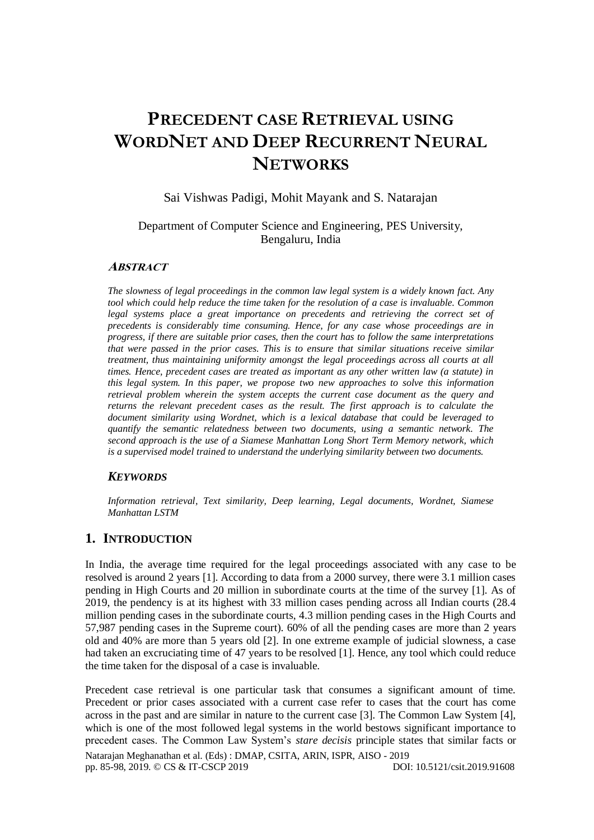# **PRECEDENT CASE RETRIEVAL USING WORDNET AND DEEP RECURRENT NEURAL NETWORKS**

### Sai Vishwas Padigi, Mohit Mayank and S. Natarajan

#### Department of Computer Science and Engineering, PES University, Bengaluru, India

#### **ABSTRACT**

*The slowness of legal proceedings in the common law legal system is a widely known fact. Any tool which could help reduce the time taken for the resolution of a case is invaluable. Common legal systems place a great importance on precedents and retrieving the correct set of precedents is considerably time consuming. Hence, for any case whose proceedings are in progress, if there are suitable prior cases, then the court has to follow the same interpretations that were passed in the prior cases. This is to ensure that similar situations receive similar treatment, thus maintaining uniformity amongst the legal proceedings across all courts at all times. Hence, precedent cases are treated as important as any other written law (a statute) in this legal system. In this paper, we propose two new approaches to solve this information retrieval problem wherein the system accepts the current case document as the query and returns the relevant precedent cases as the result. The first approach is to calculate the document similarity using Wordnet, which is a lexical database that could be leveraged to quantify the semantic relatedness between two documents, using a semantic network. The second approach is the use of a Siamese Manhattan Long Short Term Memory network, which is a supervised model trained to understand the underlying similarity between two documents.*

#### *KEYWORDS*

*Information retrieval, Text similarity, Deep learning, Legal documents, Wordnet, Siamese Manhattan LSTM* 

#### **1. INTRODUCTION**

In India, the average time required for the legal proceedings associated with any case to be resolved is around 2 years [1]. According to data from a 2000 survey, there were 3.1 million cases pending in High Courts and 20 million in subordinate courts at the time of the survey [1]. As of 2019, the pendency is at its highest with 33 million cases pending across all Indian courts (28.4 million pending cases in the subordinate courts, 4.3 million pending cases in the High Courts and 57,987 pending cases in the Supreme court). 60% of all the pending cases are more than 2 years old and 40% are more than 5 years old [2]. In one extreme example of judicial slowness, a case had taken an excruciating time of 47 years to be resolved [1]. Hence, any tool which could reduce the time taken for the disposal of a case is invaluable.

Natarajan Meghanathan et al. (Eds) : DMAP, CSITA, ARIN, ISPR, AISO - 2019 pp. 85-98, 2019. © CS & IT-CSCP 2019 DOI: 10.5121/csit.2019.91608 Precedent case retrieval is one particular task that consumes a significant amount of time. Precedent or prior cases associated with a current case refer to cases that the court has come across in the past and are similar in nature to the current case [3]. The Common Law System [4], which is one of the most followed legal systems in the world bestows significant importance to precedent cases. The Common Law System's *stare decisis* principle states that similar facts or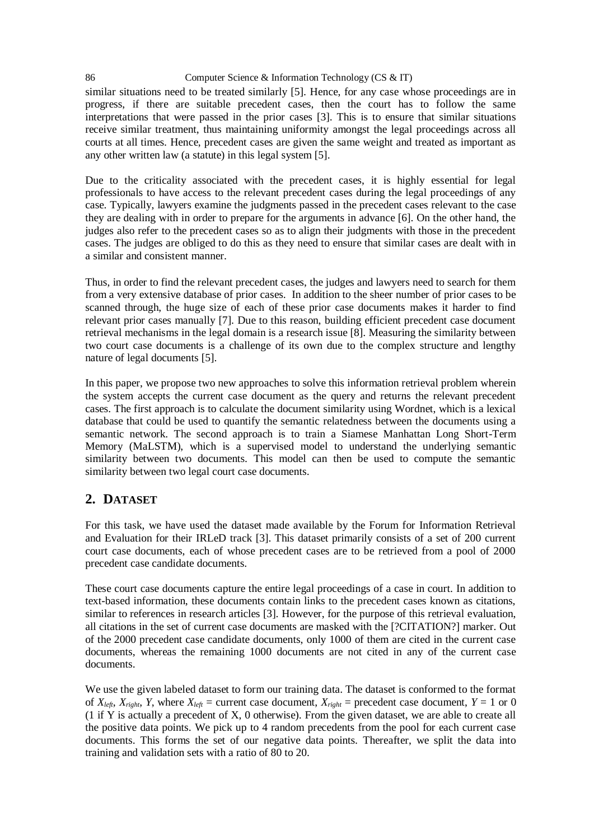86 Computer Science & Information Technology (CS & IT) similar situations need to be treated similarly [5]. Hence, for any case whose proceedings are in progress, if there are suitable precedent cases, then the court has to follow the same interpretations that were passed in the prior cases [3]. This is to ensure that similar situations receive similar treatment, thus maintaining uniformity amongst the legal proceedings across all courts at all times. Hence, precedent cases are given the same weight and treated as important as any other written law (a statute) in this legal system [5].

Due to the criticality associated with the precedent cases, it is highly essential for legal professionals to have access to the relevant precedent cases during the legal proceedings of any case. Typically, lawyers examine the judgments passed in the precedent cases relevant to the case they are dealing with in order to prepare for the arguments in advance [6]. On the other hand, the judges also refer to the precedent cases so as to align their judgments with those in the precedent cases. The judges are obliged to do this as they need to ensure that similar cases are dealt with in a similar and consistent manner.

Thus, in order to find the relevant precedent cases, the judges and lawyers need to search for them from a very extensive database of prior cases. In addition to the sheer number of prior cases to be scanned through, the huge size of each of these prior case documents makes it harder to find relevant prior cases manually [7]. Due to this reason, building efficient precedent case document retrieval mechanisms in the legal domain is a research issue [8]. Measuring the similarity between two court case documents is a challenge of its own due to the complex structure and lengthy nature of legal documents [5].

In this paper, we propose two new approaches to solve this information retrieval problem wherein the system accepts the current case document as the query and returns the relevant precedent cases. The first approach is to calculate the document similarity using Wordnet, which is a lexical database that could be used to quantify the semantic relatedness between the documents using a semantic network. The second approach is to train a Siamese Manhattan Long Short-Term Memory (MaLSTM), which is a supervised model to understand the underlying semantic similarity between two documents. This model can then be used to compute the semantic similarity between two legal court case documents.

# **2. DATASET**

For this task, we have used the dataset made available by the Forum for Information Retrieval and Evaluation for their IRLeD track [3]. This dataset primarily consists of a set of 200 current court case documents, each of whose precedent cases are to be retrieved from a pool of 2000 precedent case candidate documents.

These court case documents capture the entire legal proceedings of a case in court. In addition to text-based information, these documents contain links to the precedent cases known as citations, similar to references in research articles [3]. However, for the purpose of this retrieval evaluation, all citations in the set of current case documents are masked with the [?CITATION?] marker. Out of the 2000 precedent case candidate documents, only 1000 of them are cited in the current case documents, whereas the remaining 1000 documents are not cited in any of the current case documents.

We use the given labeled dataset to form our training data. The dataset is conformed to the format of  $X_{left}$ ,  $X_{right}$ ,  $Y$ , where  $X_{left}$  = current case document,  $X_{right}$  = precedent case document,  $Y = 1$  or 0 (1 if Y is actually a precedent of X, 0 otherwise). From the given dataset, we are able to create all the positive data points. We pick up to 4 random precedents from the pool for each current case documents. This forms the set of our negative data points. Thereafter, we split the data into training and validation sets with a ratio of 80 to 20.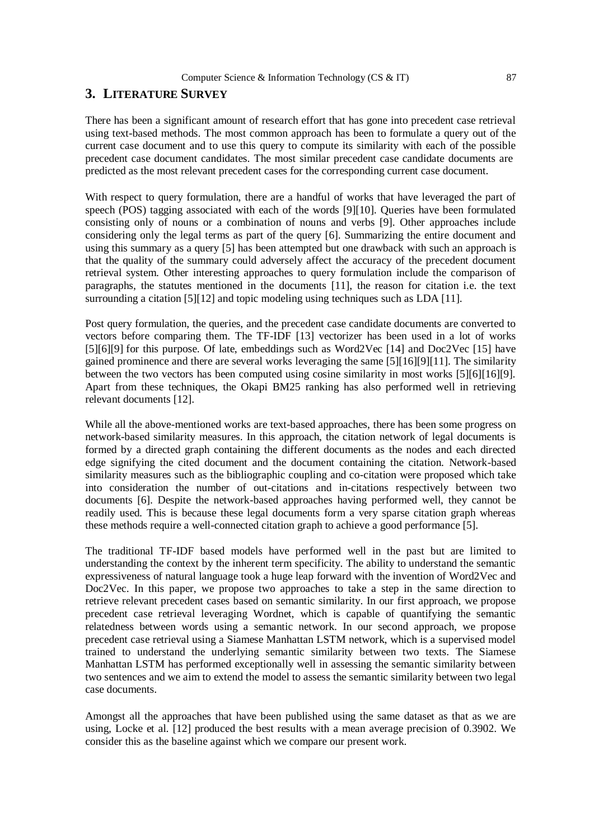# **3. LITERATURE SURVEY**

There has been a significant amount of research effort that has gone into precedent case retrieval using text-based methods. The most common approach has been to formulate a query out of the current case document and to use this query to compute its similarity with each of the possible precedent case document candidates. The most similar precedent case candidate documents are predicted as the most relevant precedent cases for the corresponding current case document.

With respect to query formulation, there are a handful of works that have leveraged the part of speech (POS) tagging associated with each of the words [9][10]. Queries have been formulated consisting only of nouns or a combination of nouns and verbs [9]. Other approaches include considering only the legal terms as part of the query [6]. Summarizing the entire document and using this summary as a query [5] has been attempted but one drawback with such an approach is that the quality of the summary could adversely affect the accuracy of the precedent document retrieval system. Other interesting approaches to query formulation include the comparison of paragraphs, the statutes mentioned in the documents [11], the reason for citation i.e. the text surrounding a citation [5][12] and topic modeling using techniques such as LDA [11].

Post query formulation, the queries, and the precedent case candidate documents are converted to vectors before comparing them. The TF-IDF [13] vectorizer has been used in a lot of works [5][6][9] for this purpose. Of late, embeddings such as Word2Vec [14] and Doc2Vec [15] have gained prominence and there are several works leveraging the same [5][16][9][11]. The similarity between the two vectors has been computed using cosine similarity in most works [5][6][16][9]. Apart from these techniques, the Okapi BM25 ranking has also performed well in retrieving relevant documents [12].

While all the above-mentioned works are text-based approaches, there has been some progress on network-based similarity measures. In this approach, the citation network of legal documents is formed by a directed graph containing the different documents as the nodes and each directed edge signifying the cited document and the document containing the citation. Network-based similarity measures such as the bibliographic coupling and co-citation were proposed which take into consideration the number of out-citations and in-citations respectively between two documents [6]. Despite the network-based approaches having performed well, they cannot be readily used. This is because these legal documents form a very sparse citation graph whereas these methods require a well-connected citation graph to achieve a good performance [5].

The traditional TF-IDF based models have performed well in the past but are limited to understanding the context by the inherent term specificity. The ability to understand the semantic expressiveness of natural language took a huge leap forward with the invention of Word2Vec and Doc2Vec. In this paper, we propose two approaches to take a step in the same direction to retrieve relevant precedent cases based on semantic similarity. In our first approach, we propose precedent case retrieval leveraging Wordnet, which is capable of quantifying the semantic relatedness between words using a semantic network. In our second approach, we propose precedent case retrieval using a Siamese Manhattan LSTM network, which is a supervised model trained to understand the underlying semantic similarity between two texts. The Siamese Manhattan LSTM has performed exceptionally well in assessing the semantic similarity between two sentences and we aim to extend the model to assess the semantic similarity between two legal case documents.

Amongst all the approaches that have been published using the same dataset as that as we are using, Locke et al. [12] produced the best results with a mean average precision of 0.3902. We consider this as the baseline against which we compare our present work.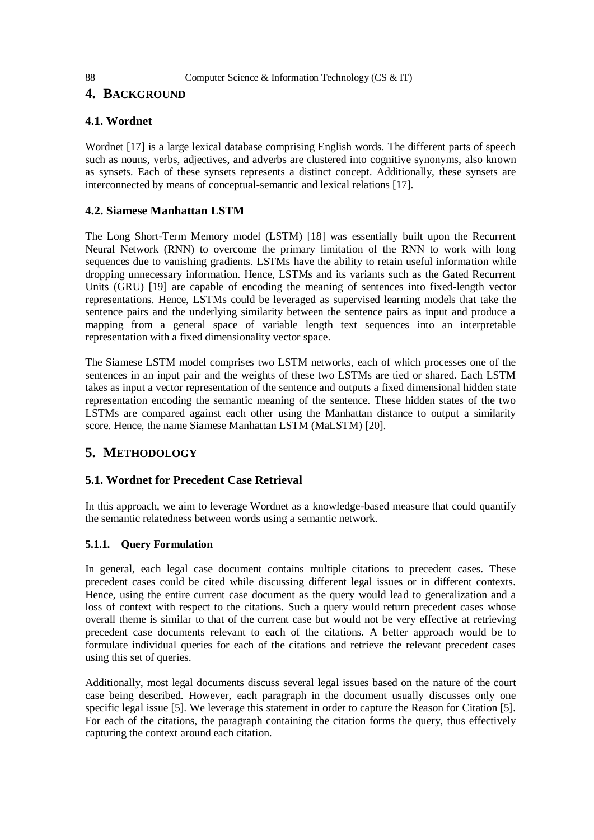# **4. BACKGROUND**

# **4.1. Wordnet**

Wordnet [17] is a large lexical database comprising English words. The different parts of speech such as nouns, verbs, adjectives, and adverbs are clustered into cognitive synonyms, also known as synsets. Each of these synsets represents a distinct concept. Additionally, these synsets are interconnected by means of conceptual-semantic and lexical relations [17].

# **4.2. Siamese Manhattan LSTM**

The Long Short-Term Memory model (LSTM) [18] was essentially built upon the Recurrent Neural Network (RNN) to overcome the primary limitation of the RNN to work with long sequences due to vanishing gradients. LSTMs have the ability to retain useful information while dropping unnecessary information. Hence, LSTMs and its variants such as the Gated Recurrent Units (GRU) [19] are capable of encoding the meaning of sentences into fixed-length vector representations. Hence, LSTMs could be leveraged as supervised learning models that take the sentence pairs and the underlying similarity between the sentence pairs as input and produce a mapping from a general space of variable length text sequences into an interpretable representation with a fixed dimensionality vector space.

The Siamese LSTM model comprises two LSTM networks, each of which processes one of the sentences in an input pair and the weights of these two LSTMs are tied or shared. Each LSTM takes as input a vector representation of the sentence and outputs a fixed dimensional hidden state representation encoding the semantic meaning of the sentence. These hidden states of the two LSTMs are compared against each other using the Manhattan distance to output a similarity score. Hence, the name Siamese Manhattan LSTM (MaLSTM) [20].

# **5. METHODOLOGY**

# **5.1. Wordnet for Precedent Case Retrieval**

In this approach, we aim to leverage Wordnet as a knowledge-based measure that could quantify the semantic relatedness between words using a semantic network.

# **5.1.1. Query Formulation**

In general, each legal case document contains multiple citations to precedent cases. These precedent cases could be cited while discussing different legal issues or in different contexts. Hence, using the entire current case document as the query would lead to generalization and a loss of context with respect to the citations. Such a query would return precedent cases whose overall theme is similar to that of the current case but would not be very effective at retrieving precedent case documents relevant to each of the citations. A better approach would be to formulate individual queries for each of the citations and retrieve the relevant precedent cases using this set of queries.

Additionally, most legal documents discuss several legal issues based on the nature of the court case being described. However, each paragraph in the document usually discusses only one specific legal issue [5]. We leverage this statement in order to capture the Reason for Citation [5]. For each of the citations, the paragraph containing the citation forms the query, thus effectively capturing the context around each citation.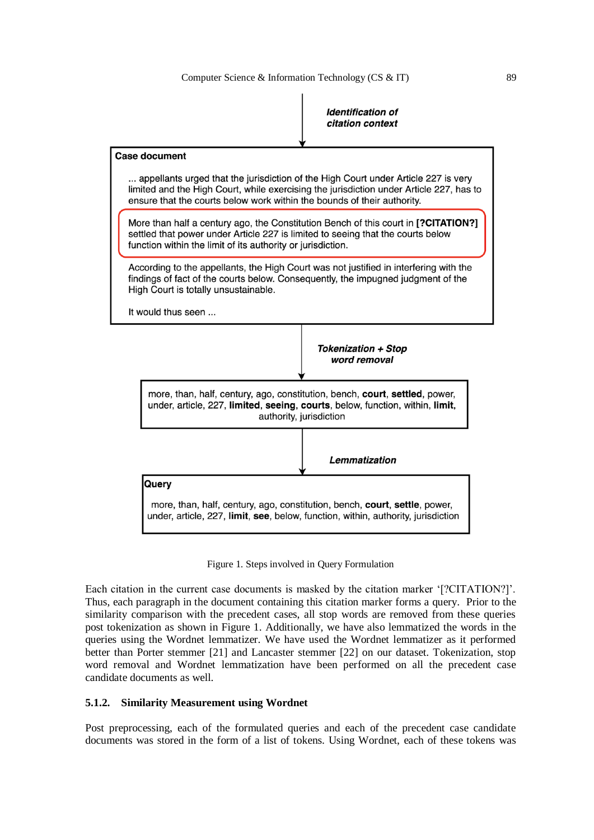| <i><b>Identification of</b></i> |
|---------------------------------|
| citation context                |



Figure 1. Steps involved in Query Formulation

Each citation in the current case documents is masked by the citation marker '[?CITATION?]'. Thus, each paragraph in the document containing this citation marker forms a query. Prior to the similarity comparison with the precedent cases, all stop words are removed from these queries post tokenization as shown in Figure 1. Additionally, we have also lemmatized the words in the queries using the Wordnet lemmatizer. We have used the Wordnet lemmatizer as it performed better than Porter stemmer [21] and Lancaster stemmer [22] on our dataset. Tokenization, stop word removal and Wordnet lemmatization have been performed on all the precedent case candidate documents as well.

#### **5.1.2. Similarity Measurement using Wordnet**

Post preprocessing, each of the formulated queries and each of the precedent case candidate documents was stored in the form of a list of tokens. Using Wordnet, each of these tokens was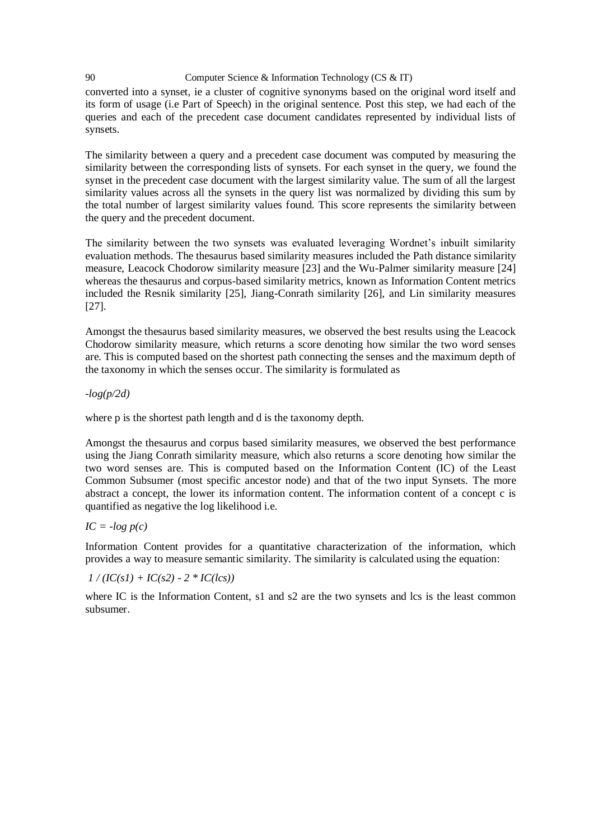converted into a synset, ie a cluster of cognitive synonyms based on the original word itself and its form of usage (i.e Part of Speech) in the original sentence. Post this step, we had each of the queries and each of the precedent case document candidates represented by individual lists of synsets.

The similarity between a query and a precedent case document was computed by measuring the similarity between the corresponding lists of synsets. For each synset in the query, we found the synset in the precedent case document with the largest similarity value. The sum of all the largest similarity values across all the synsets in the query list was normalized by dividing this sum by the total number of largest similarity values found. This score represents the similarity between the query and the precedent document.

The similarity between the two synsets was evaluated leveraging Wordnet's inbuilt similarity evaluation methods. The thesaurus based similarity measures included the Path distance similarity measure, Leacock Chodorow similarity measure [23] and the Wu-Palmer similarity measure [24] whereas the thesaurus and corpus-based similarity metrics, known as Information Content metrics included the Resnik similarity [25], Jiang-Conrath similarity [26], and Lin similarity measures [27].

Amongst the thesaurus based similarity measures, we observed the best results using the Leacock Chodorow similarity measure, which returns a score denoting how similar the two word senses are. This is computed based on the shortest path connecting the senses and the maximum depth of the taxonomy in which the senses occur. The similarity is formulated as

*-log(p/2d)*

where p is the shortest path length and d is the taxonomy depth.

Amongst the thesaurus and corpus based similarity measures, we observed the best performance using the Jiang Conrath similarity measure, which also returns a score denoting how similar the two word senses are. This is computed based on the Information Content (IC) of the Least Common Subsumer (most specific ancestor node) and that of the two input Synsets. The more abstract a concept, the lower its information content. The information content of a concept c is quantified as negative the log likelihood i.e.

 $IC = -log p(c)$ 

Information Content provides for a quantitative characterization of the information, which provides a way to measure semantic similarity. The similarity is calculated using the equation:

 $1 / (IC(sI) + IC(s2) - 2 * IC(lcs))$ 

where IC is the Information Content, s1 and s2 are the two synsets and lcs is the least common subsumer.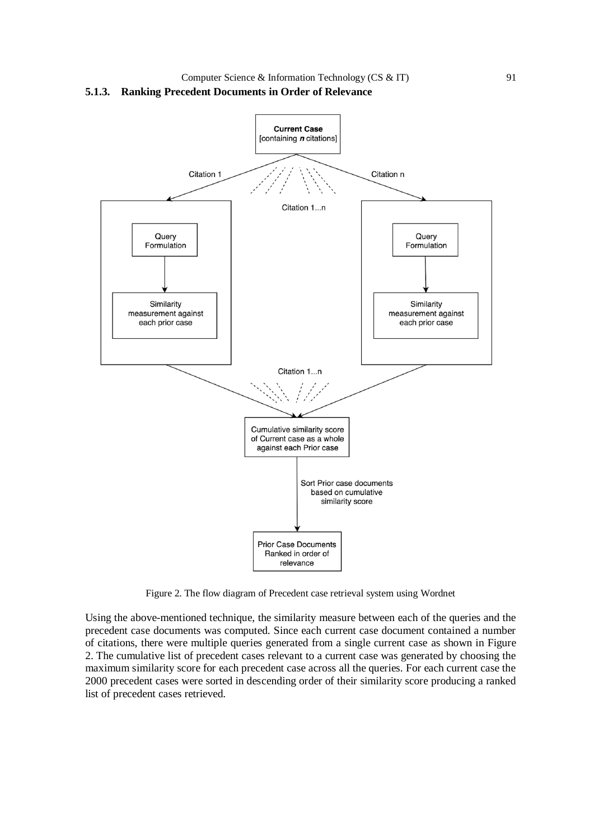

Figure 2. The flow diagram of Precedent case retrieval system using Wordnet

Using the above-mentioned technique, the similarity measure between each of the queries and the precedent case documents was computed. Since each current case document contained a number of citations, there were multiple queries generated from a single current case as shown in Figure 2. The cumulative list of precedent cases relevant to a current case was generated by choosing the maximum similarity score for each precedent case across all the queries. For each current case the 2000 precedent cases were sorted in descending order of their similarity score producing a ranked list of precedent cases retrieved.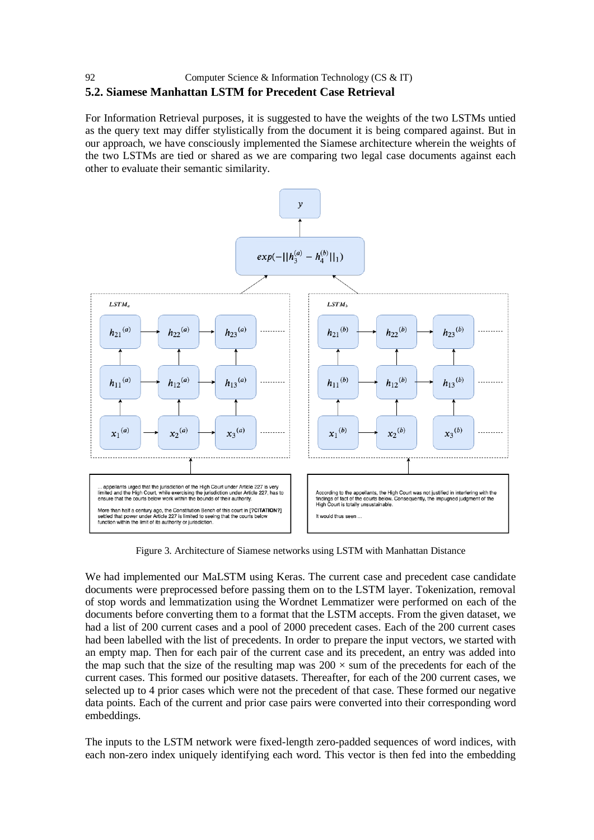# **5.2. Siamese Manhattan LSTM for Precedent Case Retrieval**

For Information Retrieval purposes, it is suggested to have the weights of the two LSTMs untied as the query text may differ stylistically from the document it is being compared against. But in our approach, we have consciously implemented the Siamese architecture wherein the weights of the two LSTMs are tied or shared as we are comparing two legal case documents against each other to evaluate their semantic similarity.



Figure 3. Architecture of Siamese networks using LSTM with Manhattan Distance

We had implemented our MaLSTM using Keras. The current case and precedent case candidate documents were preprocessed before passing them on to the LSTM layer. Tokenization, removal of stop words and lemmatization using the Wordnet Lemmatizer were performed on each of the documents before converting them to a format that the LSTM accepts. From the given dataset, we had a list of 200 current cases and a pool of 2000 precedent cases. Each of the 200 current cases had been labelled with the list of precedents. In order to prepare the input vectors, we started with an empty map. Then for each pair of the current case and its precedent, an entry was added into the map such that the size of the resulting map was  $200 \times$  sum of the precedents for each of the current cases. This formed our positive datasets. Thereafter, for each of the 200 current cases, we selected up to 4 prior cases which were not the precedent of that case. These formed our negative data points. Each of the current and prior case pairs were converted into their corresponding word embeddings.

The inputs to the LSTM network were fixed-length zero-padded sequences of word indices, with each non-zero index uniquely identifying each word. This vector is then fed into the embedding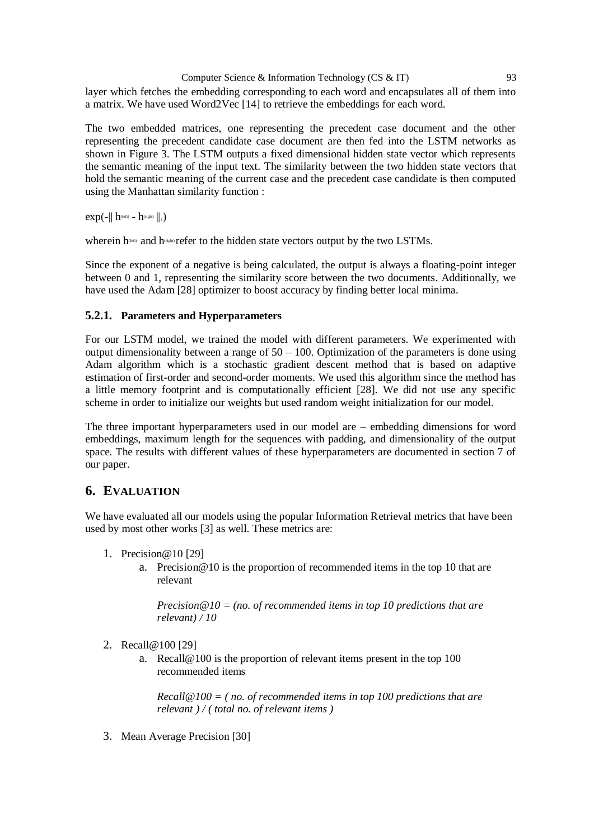layer which fetches the embedding corresponding to each word and encapsulates all of them into a matrix. We have used Word2Vec [14] to retrieve the embeddings for each word.

The two embedded matrices, one representing the precedent case document and the other representing the precedent candidate case document are then fed into the LSTM networks as shown in Figure 3. The LSTM outputs a fixed dimensional hidden state vector which represents the semantic meaning of the input text. The similarity between the two hidden state vectors that hold the semantic meaning of the current case and the precedent case candidate is then computed using the Manhattan similarity function :

 $exp(-|| h^{\text{(left)}} - h^{\text{(right)}} ||_1)$ 

wherein  $h^{\text{(left)}}$  and  $h^{\text{(right)}}$  refer to the hidden state vectors output by the two LSTMs.

Since the exponent of a negative is being calculated, the output is always a floating-point integer between 0 and 1, representing the similarity score between the two documents. Additionally, we have used the Adam [28] optimizer to boost accuracy by finding better local minima.

#### **5.2.1. Parameters and Hyperparameters**

For our LSTM model, we trained the model with different parameters. We experimented with output dimensionality between a range of  $50 - 100$ . Optimization of the parameters is done using Adam algorithm which is a stochastic gradient descent method that is based on adaptive estimation of first-order and second-order moments. We used this algorithm since the method has a little memory footprint and is computationally efficient [28]. We did not use any specific scheme in order to initialize our weights but used random weight initialization for our model.

The three important hyperparameters used in our model are – embedding dimensions for word embeddings, maximum length for the sequences with padding, and dimensionality of the output space. The results with different values of these hyperparameters are documented in section 7 of our paper.

# **6. EVALUATION**

We have evaluated all our models using the popular Information Retrieval metrics that have been used by most other works [3] as well. These metrics are:

- 1. Precision@10 [29]
	- a. Precision@10 is the proportion of recommended items in the top 10 that are relevant

*Precision@10 = (no. of recommended items in top 10 predictions that are relevant) / 10*

- 2. Recall@100 [29]
	- a. Recall@100 is the proportion of relevant items present in the top 100 recommended items

*Recall@100 = ( no. of recommended items in top 100 predictions that are relevant ) / ( total no. of relevant items )*

3. Mean Average Precision [30]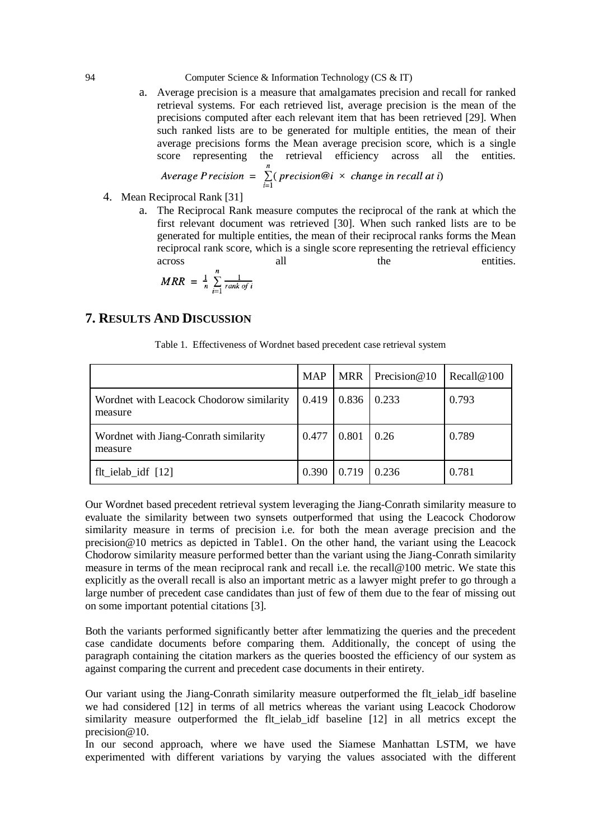a. Average precision is a measure that amalgamates precision and recall for ranked retrieval systems. For each retrieved list, average precision is the mean of the precisions computed after each relevant item that has been retrieved [29]. When such ranked lists are to be generated for multiple entities, the mean of their average precisions forms the Mean average precision score, which is a single score representing the retrieval efficiency across all the entities.

Average Precision = 
$$
\sum_{i=1}^{n} (precision@i \times change in recall at i)
$$

- 4. Mean Reciprocal Rank [31]
	- a. The Reciprocal Rank measure computes the reciprocal of the rank at which the first relevant document was retrieved [30]. When such ranked lists are to be generated for multiple entities, the mean of their reciprocal ranks forms the Mean reciprocal rank score, which is a single score representing the retrieval efficiency across all the entities.

$$
MRR = \frac{1}{n} \sum_{i=1}^{n} \frac{1}{rank\ of\ i}
$$

## **7. RESULTS AND DISCUSSION**

|                                                     | <b>MAP</b> |                   | MRR Precision $@10$ | Recall@100 |
|-----------------------------------------------------|------------|-------------------|---------------------|------------|
| Wordnet with Leacock Chodorow similarity<br>measure | 0.419      | $0.836 \pm 0.233$ |                     | 0.793      |
| Wordnet with Jiang-Conrath similarity<br>measure    | 0.477      | 0.801             | 0.26                | 0.789      |
| flt_ielab_idf $[12]$                                | 0.390      | 0.719             | 0.236               | 0.781      |

Table 1. Effectiveness of Wordnet based precedent case retrieval system

Our Wordnet based precedent retrieval system leveraging the Jiang-Conrath similarity measure to evaluate the similarity between two synsets outperformed that using the Leacock Chodorow similarity measure in terms of precision i.e. for both the mean average precision and the precision@10 metrics as depicted in Table1. On the other hand, the variant using the Leacock Chodorow similarity measure performed better than the variant using the Jiang-Conrath similarity measure in terms of the mean reciprocal rank and recall i.e. the recall@100 metric. We state this explicitly as the overall recall is also an important metric as a lawyer might prefer to go through a large number of precedent case candidates than just of few of them due to the fear of missing out on some important potential citations [3].

Both the variants performed significantly better after lemmatizing the queries and the precedent case candidate documents before comparing them. Additionally, the concept of using the paragraph containing the citation markers as the queries boosted the efficiency of our system as against comparing the current and precedent case documents in their entirety.

Our variant using the Jiang-Conrath similarity measure outperformed the flt\_ielab\_idf baseline we had considered [12] in terms of all metrics whereas the variant using Leacock Chodorow similarity measure outperformed the flt ielab idf baseline [12] in all metrics except the precision@10.

In our second approach, where we have used the Siamese Manhattan LSTM, we have experimented with different variations by varying the values associated with the different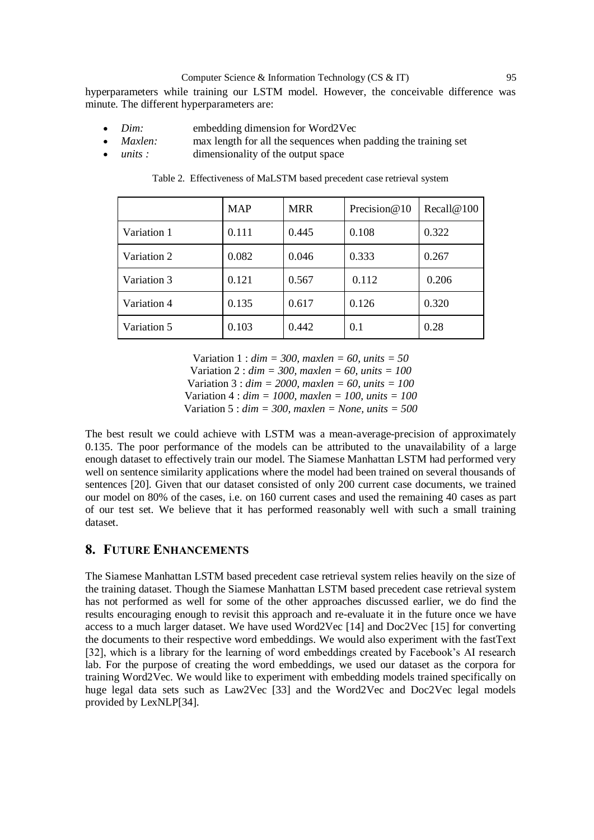hyperparameters while training our LSTM model. However, the conceivable difference was minute. The different hyperparameters are:

- *Dim:* embedding dimension for Word2Vec
- *Maxlen:* max length for all the sequences when padding the training set
- *units :* dimensionality of the output space

|             | <b>MAP</b> | <b>MRR</b> | Precision@10 | Recall@100 |
|-------------|------------|------------|--------------|------------|
| Variation 1 | 0.111      | 0.445      | 0.108        | 0.322      |
| Variation 2 | 0.082      | 0.046      | 0.333        | 0.267      |
| Variation 3 | 0.121      | 0.567      | 0.112        | 0.206      |
| Variation 4 | 0.135      | 0.617      | 0.126        | 0.320      |
| Variation 5 | 0.103      | 0.442      | 0.1          | 0.28       |

Table 2. Effectiveness of MaLSTM based precedent case retrieval system

Variation 1 : *dim = 300, maxlen = 60, units = 50* Variation 2 : *dim = 300, maxlen = 60, units = 100*

Variation 3 : *dim = 2000, maxlen = 60, units = 100*

Variation 4 : *dim = 1000, maxlen = 100, units = 100*

Variation 5 : *dim = 300, maxlen = None, units = 500*

The best result we could achieve with LSTM was a mean-average-precision of approximately 0.135. The poor performance of the models can be attributed to the unavailability of a large enough dataset to effectively train our model. The Siamese Manhattan LSTM had performed very well on sentence similarity applications where the model had been trained on several thousands of sentences [20]. Given that our dataset consisted of only 200 current case documents, we trained our model on 80% of the cases, i.e. on 160 current cases and used the remaining 40 cases as part of our test set. We believe that it has performed reasonably well with such a small training dataset.

## **8. FUTURE ENHANCEMENTS**

The Siamese Manhattan LSTM based precedent case retrieval system relies heavily on the size of the training dataset. Though the Siamese Manhattan LSTM based precedent case retrieval system has not performed as well for some of the other approaches discussed earlier, we do find the results encouraging enough to revisit this approach and re-evaluate it in the future once we have access to a much larger dataset. We have used Word2Vec [14] and Doc2Vec [15] for converting the documents to their respective word embeddings. We would also experiment with the fastText [32], which is a library for the learning of word embeddings created by Facebook's AI research lab. For the purpose of creating the word embeddings, we used our dataset as the corpora for training Word2Vec. We would like to experiment with embedding models trained specifically on huge legal data sets such as Law2Vec [33] and the Word2Vec and Doc2Vec legal models provided by LexNLP[34].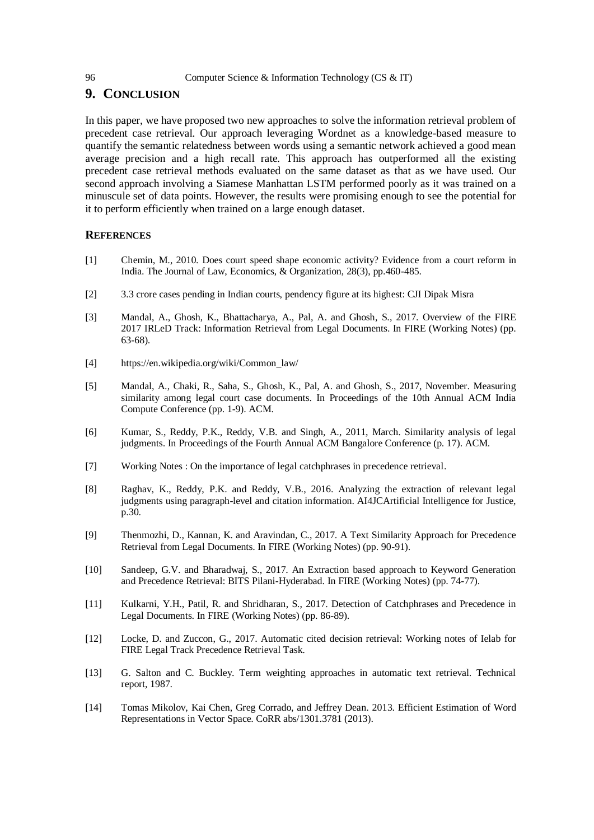# **9. CONCLUSION**

In this paper, we have proposed two new approaches to solve the information retrieval problem of precedent case retrieval. Our approach leveraging Wordnet as a knowledge-based measure to quantify the semantic relatedness between words using a semantic network achieved a good mean average precision and a high recall rate. This approach has outperformed all the existing precedent case retrieval methods evaluated on the same dataset as that as we have used. Our second approach involving a Siamese Manhattan LSTM performed poorly as it was trained on a minuscule set of data points. However, the results were promising enough to see the potential for it to perform efficiently when trained on a large enough dataset.

#### **REFERENCES**

- [1] Chemin, M., 2010. Does court speed shape economic activity? Evidence from a court reform in India. The Journal of Law, Economics, & Organization, 28(3), pp.460-485.
- [2] 3.3 crore cases pending in Indian courts, pendency figure at its highest: CJI Dipak Misra
- [3] Mandal, A., Ghosh, K., Bhattacharya, A., Pal, A. and Ghosh, S., 2017. Overview of the FIRE 2017 IRLeD Track: Information Retrieval from Legal Documents. In FIRE (Working Notes) (pp. 63-68).
- [4] https://en.wikipedia.org/wiki/Common\_law/
- [5] Mandal, A., Chaki, R., Saha, S., Ghosh, K., Pal, A. and Ghosh, S., 2017, November. Measuring similarity among legal court case documents. In Proceedings of the 10th Annual ACM India Compute Conference (pp. 1-9). ACM.
- [6] Kumar, S., Reddy, P.K., Reddy, V.B. and Singh, A., 2011, March. Similarity analysis of legal judgments. In Proceedings of the Fourth Annual ACM Bangalore Conference (p. 17). ACM.
- [7] Working Notes : On the importance of legal catchphrases in precedence retrieval.
- [8] Raghav, K., Reddy, P.K. and Reddy, V.B., 2016. Analyzing the extraction of relevant legal judgments using paragraph-level and citation information. AI4JCArtificial Intelligence for Justice, p.30.
- [9] Thenmozhi, D., Kannan, K. and Aravindan, C., 2017. A Text Similarity Approach for Precedence Retrieval from Legal Documents. In FIRE (Working Notes) (pp. 90-91).
- [10] Sandeep, G.V. and Bharadwaj, S., 2017. An Extraction based approach to Keyword Generation and Precedence Retrieval: BITS Pilani-Hyderabad. In FIRE (Working Notes) (pp. 74-77).
- [11] Kulkarni, Y.H., Patil, R. and Shridharan, S., 2017. Detection of Catchphrases and Precedence in Legal Documents. In FIRE (Working Notes) (pp. 86-89).
- [12] Locke, D. and Zuccon, G., 2017. Automatic cited decision retrieval: Working notes of Ielab for FIRE Legal Track Precedence Retrieval Task.
- [13] G. Salton and C. Buckley. Term weighting approaches in automatic text retrieval. Technical report, 1987.
- [14] Tomas Mikolov, Kai Chen, Greg Corrado, and Jeffrey Dean. 2013. Efficient Estimation of Word Representations in Vector Space. CoRR abs/1301.3781 (2013).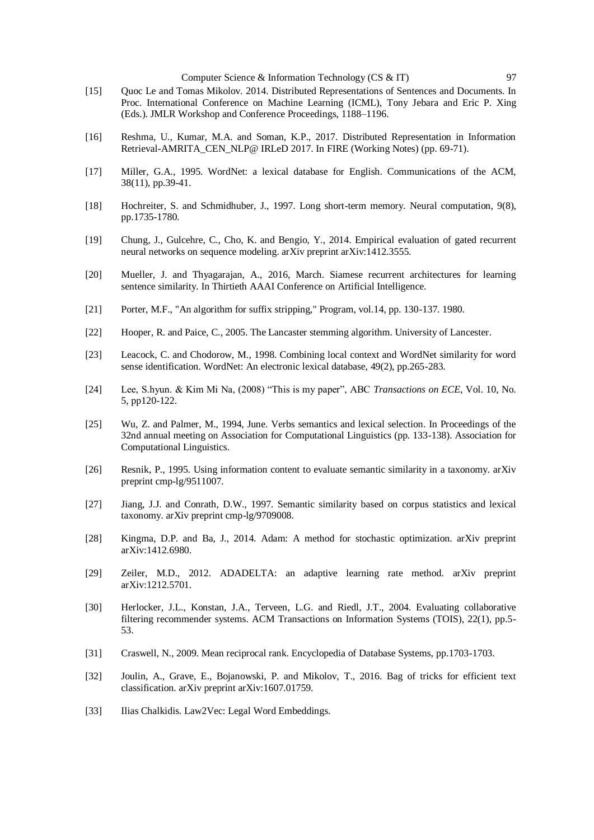- [15] Quoc Le and Tomas Mikolov. 2014. Distributed Representations of Sentences and Documents. In Proc. International Conference on Machine Learning (ICML), Tony Jebara and Eric P. Xing (Eds.). JMLR Workshop and Conference Proceedings, 1188–1196.
- [16] Reshma, U., Kumar, M.A. and Soman, K.P., 2017. Distributed Representation in Information Retrieval-AMRITA\_CEN\_NLP@ IRLeD 2017. In FIRE (Working Notes) (pp. 69-71).
- [17] Miller, G.A., 1995. WordNet: a lexical database for English. Communications of the ACM, 38(11), pp.39-41.
- [18] Hochreiter, S. and Schmidhuber, J., 1997. Long short-term memory. Neural computation, 9(8), pp.1735-1780.
- [19] Chung, J., Gulcehre, C., Cho, K. and Bengio, Y., 2014. Empirical evaluation of gated recurrent neural networks on sequence modeling. arXiv preprint arXiv:1412.3555.
- [20] Mueller, J. and Thyagarajan, A., 2016, March. Siamese recurrent architectures for learning sentence similarity. In Thirtieth AAAI Conference on Artificial Intelligence.
- [21] Porter, M.F., "An algorithm for suffix stripping," Program, vol.14, pp. 130-137. 1980.
- [22] Hooper, R. and Paice, C., 2005. The Lancaster stemming algorithm. University of Lancester.
- [23] Leacock, C. and Chodorow, M., 1998. Combining local context and WordNet similarity for word sense identification. WordNet: An electronic lexical database, 49(2), pp.265-283.
- [24] Lee, S.hyun. & Kim Mi Na, (2008) "This is my paper", ABC *Transactions on ECE*, Vol. 10, No. 5, pp120-122.
- [25] Wu, Z. and Palmer, M., 1994, June. Verbs semantics and lexical selection. In Proceedings of the 32nd annual meeting on Association for Computational Linguistics (pp. 133-138). Association for Computational Linguistics.
- [26] Resnik, P., 1995. Using information content to evaluate semantic similarity in a taxonomy. arXiv preprint cmp-lg/9511007.
- [27] Jiang, J.J. and Conrath, D.W., 1997. Semantic similarity based on corpus statistics and lexical taxonomy. arXiv preprint cmp-lg/9709008.
- [28] Kingma, D.P. and Ba, J., 2014. Adam: A method for stochastic optimization. arXiv preprint arXiv:1412.6980.
- [29] Zeiler, M.D., 2012. ADADELTA: an adaptive learning rate method. arXiv preprint arXiv:1212.5701.
- [30] Herlocker, J.L., Konstan, J.A., Terveen, L.G. and Riedl, J.T., 2004. Evaluating collaborative filtering recommender systems. ACM Transactions on Information Systems (TOIS), 22(1), pp.5- 53.
- [31] Craswell, N., 2009. Mean reciprocal rank. Encyclopedia of Database Systems, pp.1703-1703.
- [32] Joulin, A., Grave, E., Bojanowski, P. and Mikolov, T., 2016. Bag of tricks for efficient text classification. arXiv preprint arXiv:1607.01759.
- [33] Ilias Chalkidis. Law2Vec: Legal Word Embeddings.